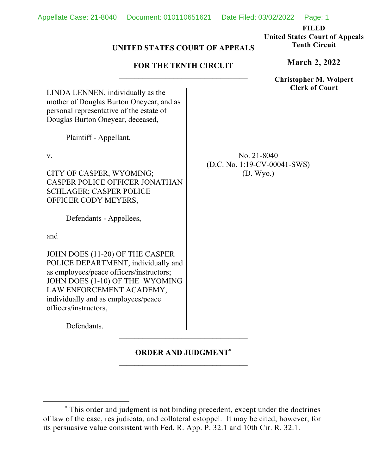No. 21-8040 (D.C. No. 1:19-CV-00041-SWS) (D. Wyo.)

**FILED** 

**United States Court of Appeals Tenth Circuit** 

# **UNITED STATES COURT OF APPEALS**

## **FOR THE TENTH CIRCUIT**

**Christopher M. Wolpert Clerk of Court**

LINDA LENNEN, individually as the mother of Douglas Burton Oneyear, and as personal representative of the estate of Douglas Burton Oneyear, deceased,

Plaintiff - Appellant,

v.

CITY OF CASPER, WYOMING; CASPER POLICE OFFICER JONATHAN SCHLAGER; CASPER POLICE OFFICER CODY MEYERS,

Defendants - Appellees,

and

JOHN DOES (11-20) OF THE CASPER POLICE DEPARTMENT, individually and as employees/peace officers/instructors; JOHN DOES (1-10) OF THE WYOMING LAW ENFORCEMENT ACADEMY, individually and as employees/peace officers/instructors,

Defendants.

# **ORDER AND JUDGMENT\***

**March 2, 2022**

<sup>\*</sup> This order and judgment is not binding precedent, except under the doctrines of law of the case, res judicata, and collateral estoppel. It may be cited, however, for its persuasive value consistent with Fed. R. App. P. 32.1 and 10th Cir. R. 32.1.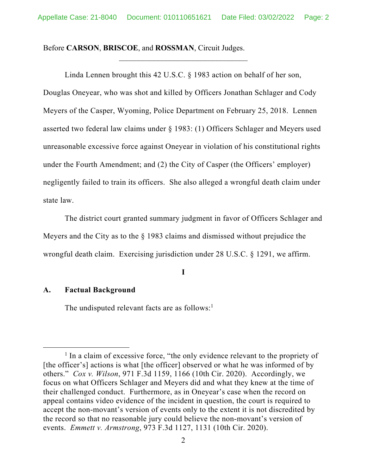Before **CARSON**, **BRISCOE**, and **ROSSMAN**, Circuit Judges.

Linda Lennen brought this 42 U.S.C. § 1983 action on behalf of her son, Douglas Oneyear, who was shot and killed by Officers Jonathan Schlager and Cody Meyers of the Casper, Wyoming, Police Department on February 25, 2018. Lennen asserted two federal law claims under § 1983: (1) Officers Schlager and Meyers used unreasonable excessive force against Oneyear in violation of his constitutional rights under the Fourth Amendment; and (2) the City of Casper (the Officers' employer) negligently failed to train its officers. She also alleged a wrongful death claim under state law.

The district court granted summary judgment in favor of Officers Schlager and Meyers and the City as to the § 1983 claims and dismissed without prejudice the wrongful death claim. Exercising jurisdiction under 28 U.S.C. § 1291, we affirm.

**I** 

#### **A. Factual Background**

The undisputed relevant facts are as follows:<sup>1</sup>

<sup>&</sup>lt;sup>1</sup> In a claim of excessive force, "the only evidence relevant to the propriety of [the officer's] actions is what [the officer] observed or what he was informed of by others." *Cox v. Wilson*, 971 F.3d 1159, 1166 (10th Cir. 2020). Accordingly, we focus on what Officers Schlager and Meyers did and what they knew at the time of their challenged conduct. Furthermore, as in Oneyear's case when the record on appeal contains video evidence of the incident in question, the court is required to accept the non-movant's version of events only to the extent it is not discredited by the record so that no reasonable jury could believe the non-movant's version of events. *Emmett v. Armstrong*, 973 F.3d 1127, 1131 (10th Cir. 2020).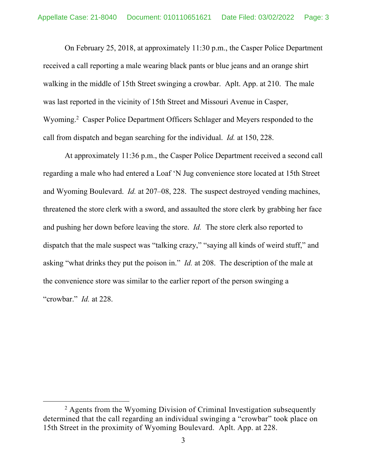On February 25, 2018, at approximately 11:30 p.m., the Casper Police Department received a call reporting a male wearing black pants or blue jeans and an orange shirt walking in the middle of 15th Street swinging a crowbar. Aplt. App. at 210. The male was last reported in the vicinity of 15th Street and Missouri Avenue in Casper, Wyoming.<sup>2</sup> Casper Police Department Officers Schlager and Meyers responded to the call from dispatch and began searching for the individual. *Id.* at 150, 228.

At approximately 11:36 p.m., the Casper Police Department received a second call regarding a male who had entered a Loaf 'N Jug convenience store located at 15th Street and Wyoming Boulevard. *Id.* at 207–08, 228. The suspect destroyed vending machines, threatened the store clerk with a sword, and assaulted the store clerk by grabbing her face and pushing her down before leaving the store. *Id.* The store clerk also reported to dispatch that the male suspect was "talking crazy," "saying all kinds of weird stuff," and asking "what drinks they put the poison in." *Id.* at 208. The description of the male at the convenience store was similar to the earlier report of the person swinging a "crowbar." *Id.* at 228.

<sup>&</sup>lt;sup>2</sup> Agents from the Wyoming Division of Criminal Investigation subsequently determined that the call regarding an individual swinging a "crowbar" took place on 15th Street in the proximity of Wyoming Boulevard. Aplt. App. at 228.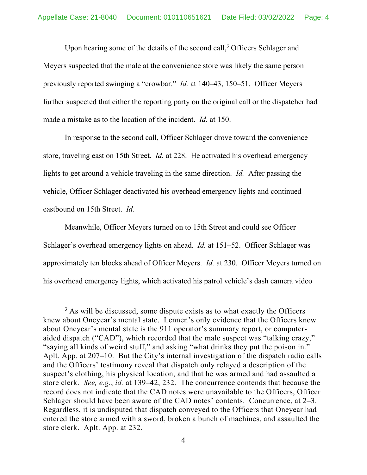Upon hearing some of the details of the second call,<sup>3</sup> Officers Schlager and Meyers suspected that the male at the convenience store was likely the same person previously reported swinging a "crowbar." *Id.* at 140–43, 150–51. Officer Meyers further suspected that either the reporting party on the original call or the dispatcher had made a mistake as to the location of the incident. *Id.* at 150.

In response to the second call, Officer Schlager drove toward the convenience store, traveling east on 15th Street. *Id.* at 228. He activated his overhead emergency lights to get around a vehicle traveling in the same direction. *Id.* After passing the vehicle, Officer Schlager deactivated his overhead emergency lights and continued eastbound on 15th Street. *Id.*

Meanwhile, Officer Meyers turned on to 15th Street and could see Officer Schlager's overhead emergency lights on ahead. *Id.* at 151–52. Officer Schlager was approximately ten blocks ahead of Officer Meyers. *Id.* at 230. Officer Meyers turned on his overhead emergency lights, which activated his patrol vehicle's dash camera video

 $3$  As will be discussed, some dispute exists as to what exactly the Officers knew about Oneyear's mental state. Lennen's only evidence that the Officers knew about Oneyear's mental state is the 911 operator's summary report, or computeraided dispatch ("CAD"), which recorded that the male suspect was "talking crazy," "saying all kinds of weird stuff," and asking "what drinks they put the poison in." Aplt. App. at 207–10. But the City's internal investigation of the dispatch radio calls and the Officers' testimony reveal that dispatch only relayed a description of the suspect's clothing, his physical location, and that he was armed and had assaulted a store clerk. *See, e.g.*, *id.* at 139–42, 232. The concurrence contends that because the record does not indicate that the CAD notes were unavailable to the Officers, Officer Schlager should have been aware of the CAD notes' contents. Concurrence, at 2–3. Regardless, it is undisputed that dispatch conveyed to the Officers that Oneyear had entered the store armed with a sword, broken a bunch of machines, and assaulted the store clerk. Aplt. App. at 232.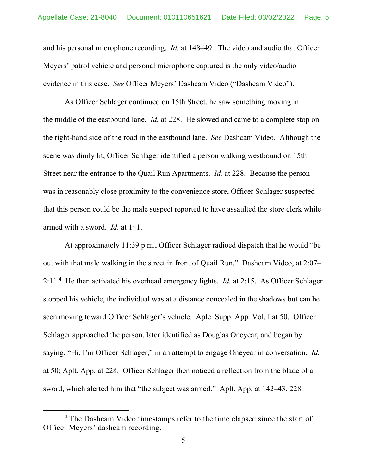and his personal microphone recording. *Id.* at 148–49. The video and audio that Officer Meyers' patrol vehicle and personal microphone captured is the only video/audio evidence in this case. *See* Officer Meyers' Dashcam Video ("Dashcam Video").

As Officer Schlager continued on 15th Street, he saw something moving in the middle of the eastbound lane. *Id.* at 228. He slowed and came to a complete stop on the right-hand side of the road in the eastbound lane. *See* Dashcam Video. Although the scene was dimly lit, Officer Schlager identified a person walking westbound on 15th Street near the entrance to the Quail Run Apartments. *Id.* at 228. Because the person was in reasonably close proximity to the convenience store, Officer Schlager suspected that this person could be the male suspect reported to have assaulted the store clerk while armed with a sword. *Id.* at 141.

At approximately 11:39 p.m., Officer Schlager radioed dispatch that he would "be out with that male walking in the street in front of Quail Run." Dashcam Video, at 2:07– 2:11.4 He then activated his overhead emergency lights. *Id.* at 2:15. As Officer Schlager stopped his vehicle, the individual was at a distance concealed in the shadows but can be seen moving toward Officer Schlager's vehicle. Aple. Supp. App. Vol. I at 50. Officer Schlager approached the person, later identified as Douglas Oneyear, and began by saying, "Hi, I'm Officer Schlager," in an attempt to engage Oneyear in conversation. *Id.*  at 50; Aplt. App. at 228. Officer Schlager then noticed a reflection from the blade of a sword, which alerted him that "the subject was armed." Aplt. App. at 142–43, 228.

<sup>&</sup>lt;sup>4</sup> The Dashcam Video timestamps refer to the time elapsed since the start of Officer Meyers' dashcam recording.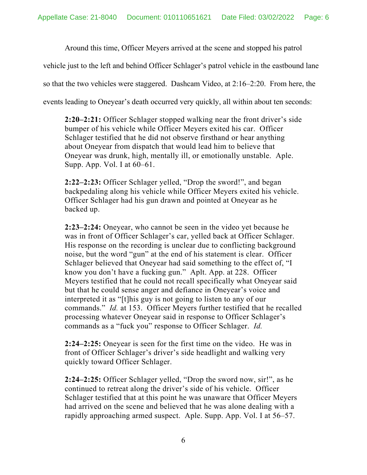Around this time, Officer Meyers arrived at the scene and stopped his patrol

vehicle just to the left and behind Officer Schlager's patrol vehicle in the eastbound lane

so that the two vehicles were staggered. Dashcam Video, at 2:16–2:20. From here, the

events leading to Oneyear's death occurred very quickly, all within about ten seconds:

**2:20–2:21:** Officer Schlager stopped walking near the front driver's side bumper of his vehicle while Officer Meyers exited his car. Officer Schlager testified that he did not observe firsthand or hear anything about Oneyear from dispatch that would lead him to believe that Oneyear was drunk, high, mentally ill, or emotionally unstable. Aple. Supp. App. Vol. I at 60–61.

**2:22–2:23:** Officer Schlager yelled, "Drop the sword!", and began backpedaling along his vehicle while Officer Meyers exited his vehicle. Officer Schlager had his gun drawn and pointed at Oneyear as he backed up.

**2:23–2:24:** Oneyear, who cannot be seen in the video yet because he was in front of Officer Schlager's car, yelled back at Officer Schlager. His response on the recording is unclear due to conflicting background noise, but the word "gun" at the end of his statement is clear. Officer Schlager believed that Oneyear had said something to the effect of, "I know you don't have a fucking gun." Aplt. App. at 228. Officer Meyers testified that he could not recall specifically what Oneyear said but that he could sense anger and defiance in Oneyear's voice and interpreted it as "[t]his guy is not going to listen to any of our commands." *Id.* at 153. Officer Meyers further testified that he recalled processing whatever Oneyear said in response to Officer Schlager's commands as a "fuck you" response to Officer Schlager. *Id.*

**2:24–2:25:** Oneyear is seen for the first time on the video. He was in front of Officer Schlager's driver's side headlight and walking very quickly toward Officer Schlager.

**2:24–2:25:** Officer Schlager yelled, "Drop the sword now, sir!", as he continued to retreat along the driver's side of his vehicle. Officer Schlager testified that at this point he was unaware that Officer Meyers had arrived on the scene and believed that he was alone dealing with a rapidly approaching armed suspect. Aple. Supp. App. Vol. I at 56–57.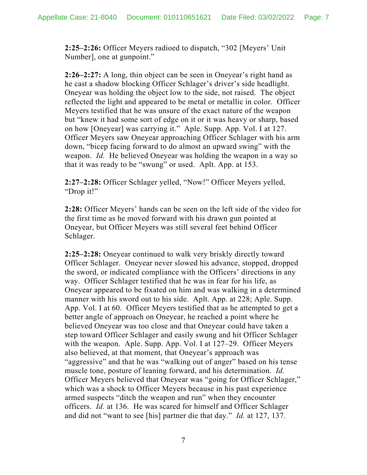**2:25–2:26:** Officer Meyers radioed to dispatch, "302 [Meyers' Unit Number], one at gunpoint."

**2:26–2:27:** A long, thin object can be seen in Oneyear's right hand as he cast a shadow blocking Officer Schlager's driver's side headlight. Oneyear was holding the object low to the side, not raised. The object reflected the light and appeared to be metal or metallic in color. Officer Meyers testified that he was unsure of the exact nature of the weapon but "knew it had some sort of edge on it or it was heavy or sharp, based on how [Oneyear] was carrying it." Aple. Supp. App. Vol. I at 127. Officer Meyers saw Oneyear approaching Officer Schlager with his arm down, "bicep facing forward to do almost an upward swing" with the weapon. *Id.* He believed Oneyear was holding the weapon in a way so that it was ready to be "swung" or used. Aplt. App. at 153.

**2:27–2:28:** Officer Schlager yelled, "Now!" Officer Meyers yelled, "Drop it!"

**2:28:** Officer Meyers' hands can be seen on the left side of the video for the first time as he moved forward with his drawn gun pointed at Oneyear, but Officer Meyers was still several feet behind Officer Schlager.

**2:25–2:28:** Oneyear continued to walk very briskly directly toward Officer Schlager. Oneyear never slowed his advance, stopped, dropped the sword, or indicated compliance with the Officers' directions in any way. Officer Schlager testified that he was in fear for his life, as Oneyear appeared to be fixated on him and was walking in a determined manner with his sword out to his side. Aplt. App. at 228; Aple. Supp. App. Vol. I at 60. Officer Meyers testified that as he attempted to get a better angle of approach on Oneyear, he reached a point where he believed Oneyear was too close and that Oneyear could have taken a step toward Officer Schlager and easily swung and hit Officer Schlager with the weapon. Aple. Supp. App. Vol. I at 127–29. Officer Meyers also believed, at that moment, that Oneyear's approach was "aggressive" and that he was "walking out of anger" based on his tense muscle tone, posture of leaning forward, and his determination. *Id.*  Officer Meyers believed that Oneyear was "going for Officer Schlager," which was a shock to Officer Meyers because in his past experience armed suspects "ditch the weapon and run" when they encounter officers. *Id.* at 136. He was scared for himself and Officer Schlager and did not "want to see [his] partner die that day." *Id.* at 127, 137.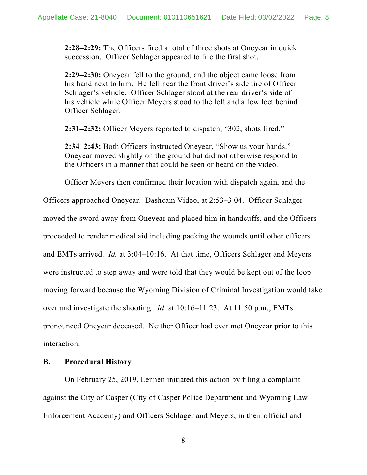**2:28–2:29:** The Officers fired a total of three shots at Oneyear in quick succession. Officer Schlager appeared to fire the first shot.

**2:29–2:30:** Oneyear fell to the ground, and the object came loose from his hand next to him. He fell near the front driver's side tire of Officer Schlager's vehicle. Officer Schlager stood at the rear driver's side of his vehicle while Officer Meyers stood to the left and a few feet behind Officer Schlager.

**2:31–2:32:** Officer Meyers reported to dispatch, "302, shots fired."

**2:34–2:43:** Both Officers instructed Oneyear, "Show us your hands." Oneyear moved slightly on the ground but did not otherwise respond to the Officers in a manner that could be seen or heard on the video.

Officer Meyers then confirmed their location with dispatch again, and the

Officers approached Oneyear. Dashcam Video, at 2:53–3:04. Officer Schlager moved the sword away from Oneyear and placed him in handcuffs, and the Officers proceeded to render medical aid including packing the wounds until other officers and EMTs arrived. *Id.* at 3:04–10:16. At that time, Officers Schlager and Meyers were instructed to step away and were told that they would be kept out of the loop moving forward because the Wyoming Division of Criminal Investigation would take over and investigate the shooting. *Id.* at 10:16–11:23. At 11:50 p.m., EMTs pronounced Oneyear deceased. Neither Officer had ever met Oneyear prior to this interaction.

### **B. Procedural History**

On February 25, 2019, Lennen initiated this action by filing a complaint against the City of Casper (City of Casper Police Department and Wyoming Law Enforcement Academy) and Officers Schlager and Meyers, in their official and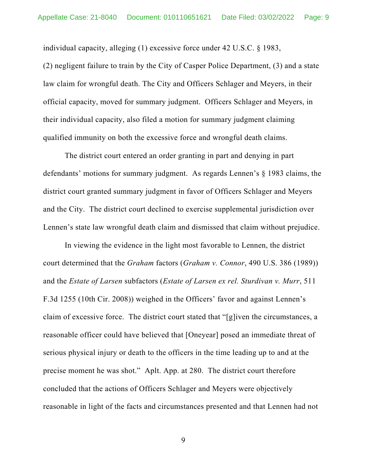individual capacity, alleging (1) excessive force under 42 U.S.C. § 1983,

(2) negligent failure to train by the City of Casper Police Department, (3) and a state law claim for wrongful death. The City and Officers Schlager and Meyers, in their official capacity, moved for summary judgment. Officers Schlager and Meyers, in their individual capacity, also filed a motion for summary judgment claiming qualified immunity on both the excessive force and wrongful death claims.

The district court entered an order granting in part and denying in part defendants' motions for summary judgment. As regards Lennen's § 1983 claims, the district court granted summary judgment in favor of Officers Schlager and Meyers and the City. The district court declined to exercise supplemental jurisdiction over Lennen's state law wrongful death claim and dismissed that claim without prejudice.

In viewing the evidence in the light most favorable to Lennen, the district court determined that the *Graham* factors (*Graham v. Connor*, 490 U.S. 386 (1989)) and the *Estate of Larsen* subfactors (*Estate of Larsen ex rel. Sturdivan v. Murr*, 511 F.3d 1255 (10th Cir. 2008)) weighed in the Officers' favor and against Lennen's claim of excessive force. The district court stated that "[g]iven the circumstances, a reasonable officer could have believed that [Oneyear] posed an immediate threat of serious physical injury or death to the officers in the time leading up to and at the precise moment he was shot." Aplt. App. at 280. The district court therefore concluded that the actions of Officers Schlager and Meyers were objectively reasonable in light of the facts and circumstances presented and that Lennen had not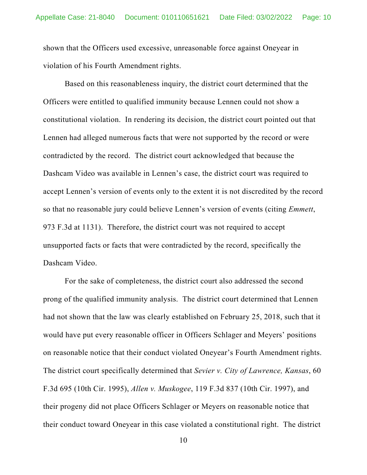shown that the Officers used excessive, unreasonable force against Oneyear in violation of his Fourth Amendment rights.

Based on this reasonableness inquiry, the district court determined that the Officers were entitled to qualified immunity because Lennen could not show a constitutional violation. In rendering its decision, the district court pointed out that Lennen had alleged numerous facts that were not supported by the record or were contradicted by the record. The district court acknowledged that because the Dashcam Video was available in Lennen's case, the district court was required to accept Lennen's version of events only to the extent it is not discredited by the record so that no reasonable jury could believe Lennen's version of events (citing *Emmett*, 973 F.3d at 1131). Therefore, the district court was not required to accept unsupported facts or facts that were contradicted by the record, specifically the Dashcam Video.

For the sake of completeness, the district court also addressed the second prong of the qualified immunity analysis. The district court determined that Lennen had not shown that the law was clearly established on February 25, 2018, such that it would have put every reasonable officer in Officers Schlager and Meyers' positions on reasonable notice that their conduct violated Oneyear's Fourth Amendment rights. The district court specifically determined that *Sevier v. City of Lawrence, Kansas*, 60 F.3d 695 (10th Cir. 1995), *Allen v. Muskogee*, 119 F.3d 837 (10th Cir. 1997), and their progeny did not place Officers Schlager or Meyers on reasonable notice that their conduct toward Oneyear in this case violated a constitutional right. The district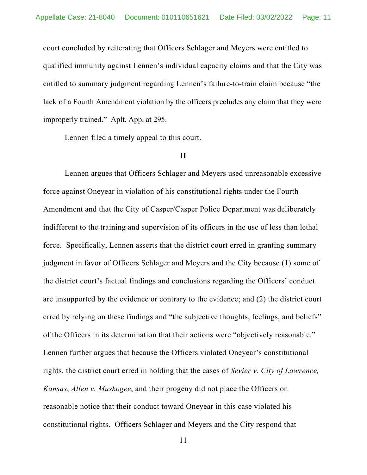court concluded by reiterating that Officers Schlager and Meyers were entitled to qualified immunity against Lennen's individual capacity claims and that the City was entitled to summary judgment regarding Lennen's failure-to-train claim because "the lack of a Fourth Amendment violation by the officers precludes any claim that they were improperly trained." Aplt. App. at 295.

Lennen filed a timely appeal to this court.

### **II**

Lennen argues that Officers Schlager and Meyers used unreasonable excessive force against Oneyear in violation of his constitutional rights under the Fourth Amendment and that the City of Casper/Casper Police Department was deliberately indifferent to the training and supervision of its officers in the use of less than lethal force. Specifically, Lennen asserts that the district court erred in granting summary judgment in favor of Officers Schlager and Meyers and the City because (1) some of the district court's factual findings and conclusions regarding the Officers' conduct are unsupported by the evidence or contrary to the evidence; and (2) the district court erred by relying on these findings and "the subjective thoughts, feelings, and beliefs" of the Officers in its determination that their actions were "objectively reasonable." Lennen further argues that because the Officers violated Oneyear's constitutional rights, the district court erred in holding that the cases of *Sevier v. City of Lawrence, Kansas*, *Allen v. Muskogee*, and their progeny did not place the Officers on reasonable notice that their conduct toward Oneyear in this case violated his constitutional rights. Officers Schlager and Meyers and the City respond that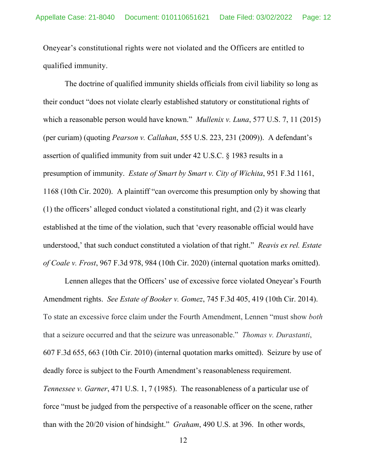Oneyear's constitutional rights were not violated and the Officers are entitled to qualified immunity.

The doctrine of qualified immunity shields officials from civil liability so long as their conduct "does not violate clearly established statutory or constitutional rights of which a reasonable person would have known." *Mullenix v. Luna*, 577 U.S. 7, 11 (2015) (per curiam) (quoting *Pearson v. Callahan*, 555 U.S. 223, 231 (2009)). A defendant's assertion of qualified immunity from suit under 42 U.S.C. § 1983 results in a presumption of immunity. *Estate of Smart by Smart v. City of Wichita*, 951 F.3d 1161, 1168 (10th Cir. 2020). A plaintiff "can overcome this presumption only by showing that (1) the officers' alleged conduct violated a constitutional right, and (2) it was clearly established at the time of the violation, such that 'every reasonable official would have understood,' that such conduct constituted a violation of that right." *Reavis ex rel. Estate of Coale v. Frost*, 967 F.3d 978, 984 (10th Cir. 2020) (internal quotation marks omitted).

Lennen alleges that the Officers' use of excessive force violated Oneyear's Fourth Amendment rights. *See Estate of Booker v. Gomez*, 745 F.3d 405, 419 (10th Cir. 2014). To state an excessive force claim under the Fourth Amendment, Lennen "must show *both*  that a seizure occurred and that the seizure was unreasonable." *Thomas v. Durastanti*, 607 F.3d 655, 663 (10th Cir. 2010) (internal quotation marks omitted). Seizure by use of deadly force is subject to the Fourth Amendment's reasonableness requirement. *Tennessee v. Garner*, 471 U.S. 1, 7 (1985). The reasonableness of a particular use of force "must be judged from the perspective of a reasonable officer on the scene, rather than with the 20/20 vision of hindsight." *Graham*, 490 U.S. at 396. In other words,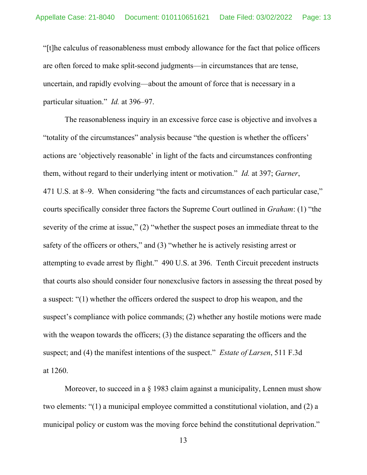"[t]he calculus of reasonableness must embody allowance for the fact that police officers are often forced to make split-second judgments—in circumstances that are tense, uncertain, and rapidly evolving—about the amount of force that is necessary in a particular situation." *Id.* at 396–97.

The reasonableness inquiry in an excessive force case is objective and involves a "totality of the circumstances" analysis because "the question is whether the officers' actions are 'objectively reasonable' in light of the facts and circumstances confronting them, without regard to their underlying intent or motivation." *Id.* at 397; *Garner*, 471 U.S. at 8–9. When considering "the facts and circumstances of each particular case," courts specifically consider three factors the Supreme Court outlined in *Graham*: (1) "the severity of the crime at issue," (2) "whether the suspect poses an immediate threat to the safety of the officers or others," and (3) "whether he is actively resisting arrest or attempting to evade arrest by flight." 490 U.S. at 396. Tenth Circuit precedent instructs that courts also should consider four nonexclusive factors in assessing the threat posed by a suspect: "(1) whether the officers ordered the suspect to drop his weapon, and the suspect's compliance with police commands; (2) whether any hostile motions were made with the weapon towards the officers; (3) the distance separating the officers and the suspect; and (4) the manifest intentions of the suspect." *Estate of Larsen*, 511 F.3d at 1260.

Moreover, to succeed in a § 1983 claim against a municipality, Lennen must show two elements: "(1) a municipal employee committed a constitutional violation, and (2) a municipal policy or custom was the moving force behind the constitutional deprivation."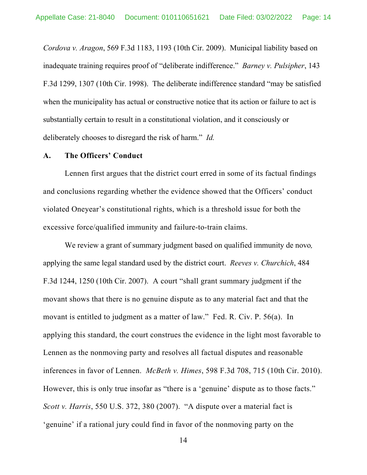*Cordova v. Aragon*, 569 F.3d 1183, 1193 (10th Cir. 2009). Municipal liability based on inadequate training requires proof of "deliberate indifference." *Barney v. Pulsipher*, 143 F.3d 1299, 1307 (10th Cir. 1998). The deliberate indifference standard "may be satisfied when the municipality has actual or constructive notice that its action or failure to act is substantially certain to result in a constitutional violation, and it consciously or deliberately chooses to disregard the risk of harm." *Id.* 

### **A. The Officers' Conduct**

Lennen first argues that the district court erred in some of its factual findings and conclusions regarding whether the evidence showed that the Officers' conduct violated Oneyear's constitutional rights, which is a threshold issue for both the excessive force/qualified immunity and failure-to-train claims.

We review a grant of summary judgment based on qualified immunity de novo*,* applying the same legal standard used by the district court. *Reeves v. Churchich*, 484 F.3d 1244, 1250 (10th Cir. 2007). A court "shall grant summary judgment if the movant shows that there is no genuine dispute as to any material fact and that the movant is entitled to judgment as a matter of law." Fed. R. Civ. P. 56(a). In applying this standard, the court construes the evidence in the light most favorable to Lennen as the nonmoving party and resolves all factual disputes and reasonable inferences in favor of Lennen. *McBeth v. Himes*, 598 F.3d 708, 715 (10th Cir. 2010). However, this is only true insofar as "there is a 'genuine' dispute as to those facts." *Scott v. Harris*, 550 U.S. 372, 380 (2007). "A dispute over a material fact is 'genuine' if a rational jury could find in favor of the nonmoving party on the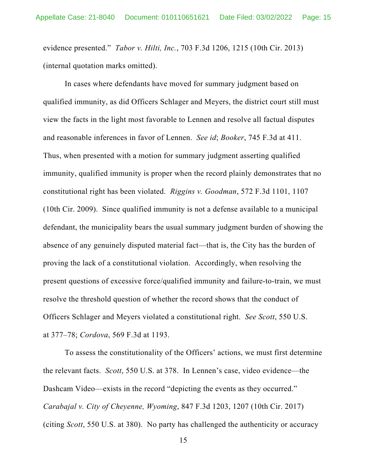evidence presented." *Tabor v. Hilti, Inc.*, 703 F.3d 1206, 1215 (10th Cir. 2013) (internal quotation marks omitted).

In cases where defendants have moved for summary judgment based on qualified immunity, as did Officers Schlager and Meyers, the district court still must view the facts in the light most favorable to Lennen and resolve all factual disputes and reasonable inferences in favor of Lennen. *See id*; *Booker*, 745 F.3d at 411. Thus, when presented with a motion for summary judgment asserting qualified immunity, qualified immunity is proper when the record plainly demonstrates that no constitutional right has been violated. *Riggins v. Goodman*, 572 F.3d 1101, 1107 (10th Cir. 2009). Since qualified immunity is not a defense available to a municipal defendant, the municipality bears the usual summary judgment burden of showing the absence of any genuinely disputed material fact—that is, the City has the burden of proving the lack of a constitutional violation. Accordingly, when resolving the present questions of excessive force/qualified immunity and failure-to-train, we must resolve the threshold question of whether the record shows that the conduct of Officers Schlager and Meyers violated a constitutional right. *See Scott*, 550 U.S. at 377–78; *Cordova*, 569 F.3d at 1193.

To assess the constitutionality of the Officers' actions, we must first determine the relevant facts. *Scott*, 550 U.S. at 378. In Lennen's case, video evidence—the Dashcam Video—exists in the record "depicting the events as they occurred." *Carabajal v. City of Cheyenne, Wyoming*, 847 F.3d 1203, 1207 (10th Cir. 2017) (citing *Scott*, 550 U.S. at 380). No party has challenged the authenticity or accuracy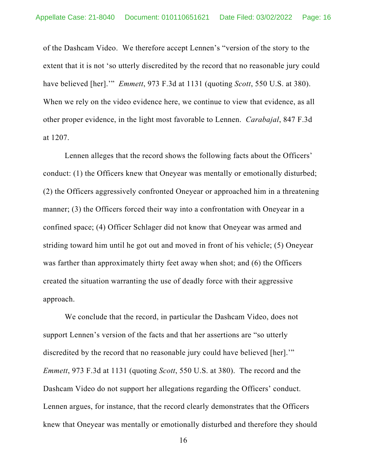of the Dashcam Video. We therefore accept Lennen's "version of the story to the extent that it is not 'so utterly discredited by the record that no reasonable jury could have believed [her].'" *Emmett*, 973 F.3d at 1131 (quoting *Scott*, 550 U.S. at 380). When we rely on the video evidence here, we continue to view that evidence, as all other proper evidence, in the light most favorable to Lennen. *Carabajal*, 847 F.3d at 1207.

Lennen alleges that the record shows the following facts about the Officers' conduct: (1) the Officers knew that Oneyear was mentally or emotionally disturbed; (2) the Officers aggressively confronted Oneyear or approached him in a threatening manner; (3) the Officers forced their way into a confrontation with Oneyear in a confined space; (4) Officer Schlager did not know that Oneyear was armed and striding toward him until he got out and moved in front of his vehicle; (5) Oneyear was farther than approximately thirty feet away when shot; and (6) the Officers created the situation warranting the use of deadly force with their aggressive approach.

We conclude that the record, in particular the Dashcam Video, does not support Lennen's version of the facts and that her assertions are "so utterly discredited by the record that no reasonable jury could have believed [her].'" *Emmett*, 973 F.3d at 1131 (quoting *Scott*, 550 U.S. at 380). The record and the Dashcam Video do not support her allegations regarding the Officers' conduct. Lennen argues, for instance, that the record clearly demonstrates that the Officers knew that Oneyear was mentally or emotionally disturbed and therefore they should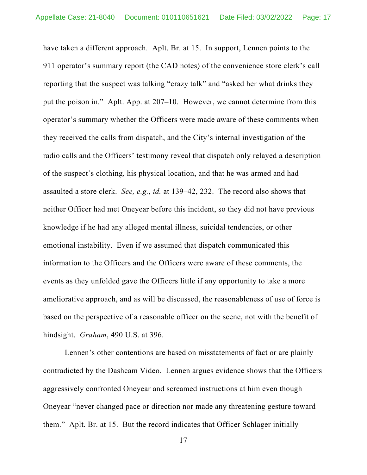have taken a different approach. Aplt. Br. at 15. In support, Lennen points to the 911 operator's summary report (the CAD notes) of the convenience store clerk's call reporting that the suspect was talking "crazy talk" and "asked her what drinks they put the poison in." Aplt. App. at 207–10. However, we cannot determine from this operator's summary whether the Officers were made aware of these comments when they received the calls from dispatch, and the City's internal investigation of the radio calls and the Officers' testimony reveal that dispatch only relayed a description of the suspect's clothing, his physical location, and that he was armed and had assaulted a store clerk. *See, e.g.*, *id.* at 139–42, 232. The record also shows that neither Officer had met Oneyear before this incident, so they did not have previous knowledge if he had any alleged mental illness, suicidal tendencies, or other emotional instability. Even if we assumed that dispatch communicated this information to the Officers and the Officers were aware of these comments, the events as they unfolded gave the Officers little if any opportunity to take a more ameliorative approach, and as will be discussed, the reasonableness of use of force is based on the perspective of a reasonable officer on the scene, not with the benefit of hindsight. *Graham*, 490 U.S. at 396.

Lennen's other contentions are based on misstatements of fact or are plainly contradicted by the Dashcam Video. Lennen argues evidence shows that the Officers aggressively confronted Oneyear and screamed instructions at him even though Oneyear "never changed pace or direction nor made any threatening gesture toward them." Aplt. Br. at 15. But the record indicates that Officer Schlager initially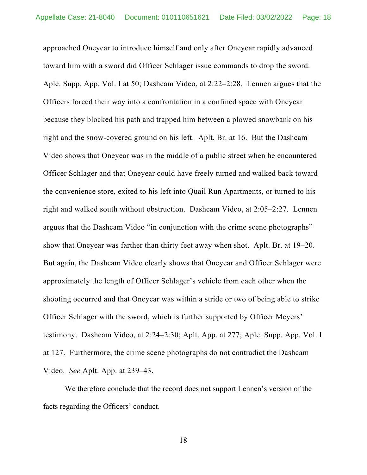approached Oneyear to introduce himself and only after Oneyear rapidly advanced toward him with a sword did Officer Schlager issue commands to drop the sword. Aple. Supp. App. Vol. I at 50; Dashcam Video, at 2:22–2:28. Lennen argues that the Officers forced their way into a confrontation in a confined space with Oneyear because they blocked his path and trapped him between a plowed snowbank on his right and the snow-covered ground on his left. Aplt. Br. at 16. But the Dashcam Video shows that Oneyear was in the middle of a public street when he encountered Officer Schlager and that Oneyear could have freely turned and walked back toward the convenience store, exited to his left into Quail Run Apartments, or turned to his right and walked south without obstruction. Dashcam Video, at 2:05–2:27. Lennen argues that the Dashcam Video "in conjunction with the crime scene photographs" show that Oneyear was farther than thirty feet away when shot. Aplt. Br. at 19–20. But again, the Dashcam Video clearly shows that Oneyear and Officer Schlager were approximately the length of Officer Schlager's vehicle from each other when the shooting occurred and that Oneyear was within a stride or two of being able to strike Officer Schlager with the sword, which is further supported by Officer Meyers' testimony. Dashcam Video, at 2:24–2:30; Aplt. App. at 277; Aple. Supp. App. Vol. I at 127. Furthermore, the crime scene photographs do not contradict the Dashcam Video. *See* Aplt. App. at 239–43.

We therefore conclude that the record does not support Lennen's version of the facts regarding the Officers' conduct.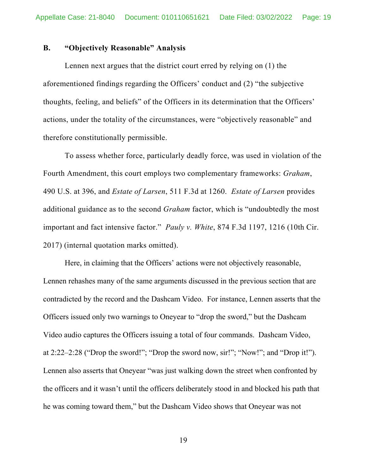### **B. "Objectively Reasonable" Analysis**

Lennen next argues that the district court erred by relying on (1) the aforementioned findings regarding the Officers' conduct and (2) "the subjective thoughts, feeling, and beliefs" of the Officers in its determination that the Officers' actions, under the totality of the circumstances, were "objectively reasonable" and therefore constitutionally permissible.

To assess whether force, particularly deadly force, was used in violation of the Fourth Amendment, this court employs two complementary frameworks: *Graham*, 490 U.S. at 396, and *Estate of Larsen*, 511 F.3d at 1260. *Estate of Larsen* provides additional guidance as to the second *Graham* factor, which is "undoubtedly the most important and fact intensive factor." *Pauly v. White*, 874 F.3d 1197, 1216 (10th Cir. 2017) (internal quotation marks omitted).

 Here, in claiming that the Officers' actions were not objectively reasonable, Lennen rehashes many of the same arguments discussed in the previous section that are contradicted by the record and the Dashcam Video. For instance, Lennen asserts that the Officers issued only two warnings to Oneyear to "drop the sword," but the Dashcam Video audio captures the Officers issuing a total of four commands. Dashcam Video, at 2:22–2:28 ("Drop the sword!"; "Drop the sword now, sir!"; "Now!"; and "Drop it!"). Lennen also asserts that Oneyear "was just walking down the street when confronted by the officers and it wasn't until the officers deliberately stood in and blocked his path that he was coming toward them," but the Dashcam Video shows that Oneyear was not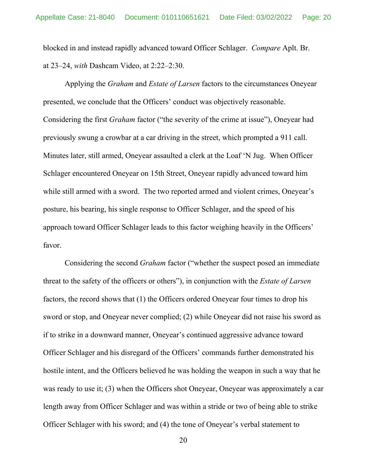blocked in and instead rapidly advanced toward Officer Schlager. *Compare* Aplt. Br. at 23–24, *with* Dashcam Video, at 2:22–2:30.

 Applying the *Graham* and *Estate of Larsen* factors to the circumstances Oneyear presented, we conclude that the Officers' conduct was objectively reasonable. Considering the first *Graham* factor ("the severity of the crime at issue"), Oneyear had previously swung a crowbar at a car driving in the street, which prompted a 911 call. Minutes later, still armed, Oneyear assaulted a clerk at the Loaf 'N Jug. When Officer Schlager encountered Oneyear on 15th Street, Oneyear rapidly advanced toward him while still armed with a sword. The two reported armed and violent crimes, Oneyear's posture, his bearing, his single response to Officer Schlager, and the speed of his approach toward Officer Schlager leads to this factor weighing heavily in the Officers' favor.

Considering the second *Graham* factor ("whether the suspect posed an immediate threat to the safety of the officers or others"), in conjunction with the *Estate of Larsen* factors, the record shows that (1) the Officers ordered Oneyear four times to drop his sword or stop, and Oneyear never complied; (2) while Oneyear did not raise his sword as if to strike in a downward manner, Oneyear's continued aggressive advance toward Officer Schlager and his disregard of the Officers' commands further demonstrated his hostile intent, and the Officers believed he was holding the weapon in such a way that he was ready to use it; (3) when the Officers shot Oneyear, Oneyear was approximately a car length away from Officer Schlager and was within a stride or two of being able to strike Officer Schlager with his sword; and (4) the tone of Oneyear's verbal statement to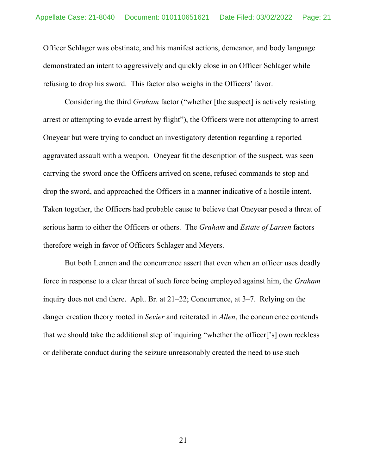Officer Schlager was obstinate, and his manifest actions, demeanor, and body language demonstrated an intent to aggressively and quickly close in on Officer Schlager while refusing to drop his sword. This factor also weighs in the Officers' favor.

Considering the third *Graham* factor ("whether [the suspect] is actively resisting arrest or attempting to evade arrest by flight"), the Officers were not attempting to arrest Oneyear but were trying to conduct an investigatory detention regarding a reported aggravated assault with a weapon. Oneyear fit the description of the suspect, was seen carrying the sword once the Officers arrived on scene, refused commands to stop and drop the sword, and approached the Officers in a manner indicative of a hostile intent. Taken together, the Officers had probable cause to believe that Oneyear posed a threat of serious harm to either the Officers or others. The *Graham* and *Estate of Larsen* factors therefore weigh in favor of Officers Schlager and Meyers.

 But both Lennen and the concurrence assert that even when an officer uses deadly force in response to a clear threat of such force being employed against him, the *Graham* inquiry does not end there. Aplt. Br. at 21–22; Concurrence, at 3–7. Relying on the danger creation theory rooted in *Sevier* and reiterated in *Allen*, the concurrence contends that we should take the additional step of inquiring "whether the officer['s] own reckless or deliberate conduct during the seizure unreasonably created the need to use such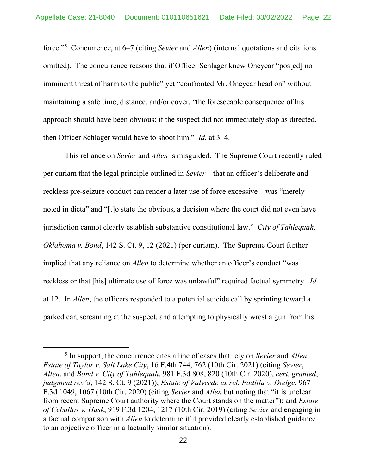force."5 Concurrence, at 6–7 (citing *Sevier* and *Allen*) (internal quotations and citations omitted). The concurrence reasons that if Officer Schlager knew Oneyear "pos[ed] no imminent threat of harm to the public" yet "confronted Mr. Oneyear head on" without maintaining a safe time, distance, and/or cover, "the foreseeable consequence of his approach should have been obvious: if the suspect did not immediately stop as directed, then Officer Schlager would have to shoot him." *Id.* at 3–4.

This reliance on *Sevier* and *Allen* is misguided. The Supreme Court recently ruled per curiam that the legal principle outlined in *Sevier*—that an officer's deliberate and reckless pre-seizure conduct can render a later use of force excessive—was "merely noted in dicta" and "[t]o state the obvious, a decision where the court did not even have jurisdiction cannot clearly establish substantive constitutional law." *City of Tahlequah, Oklahoma v. Bond*, 142 S. Ct. 9, 12 (2021) (per curiam). The Supreme Court further implied that any reliance on *Allen* to determine whether an officer's conduct "was reckless or that [his] ultimate use of force was unlawful" required factual symmetry. *Id.*  at 12. In *Allen*, the officers responded to a potential suicide call by sprinting toward a parked car, screaming at the suspect, and attempting to physically wrest a gun from his

<sup>5</sup> In support, the concurrence cites a line of cases that rely on *Sevier* and *Allen*: *Estate of Taylor v. Salt Lake City*, 16 F.4th 744, 762 (10th Cir. 2021) (citing *Sevier*, *Allen*, and *Bond v. City of Tahlequah*, 981 F.3d 808, 820 (10th Cir. 2020), *cert. granted*, *judgment rev'd*, 142 S. Ct. 9 (2021)); *Estate of Valverde ex rel. Padilla v. Dodge*, 967 F.3d 1049, 1067 (10th Cir. 2020) (citing *Sevier* and *Allen* but noting that "it is unclear from recent Supreme Court authority where the Court stands on the matter"); and *Estate of Ceballos v. Husk*, 919 F.3d 1204, 1217 (10th Cir. 2019) (citing *Sevier* and engaging in a factual comparison with *Allen* to determine if it provided clearly established guidance to an objective officer in a factually similar situation).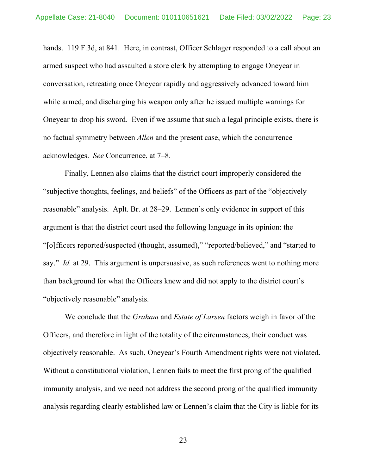hands. 119 F.3d, at 841. Here, in contrast, Officer Schlager responded to a call about an armed suspect who had assaulted a store clerk by attempting to engage Oneyear in conversation, retreating once Oneyear rapidly and aggressively advanced toward him while armed, and discharging his weapon only after he issued multiple warnings for Oneyear to drop his sword. Even if we assume that such a legal principle exists, there is no factual symmetry between *Allen* and the present case, which the concurrence acknowledges. *See* Concurrence, at 7–8.

Finally, Lennen also claims that the district court improperly considered the "subjective thoughts, feelings, and beliefs" of the Officers as part of the "objectively reasonable" analysis. Aplt. Br. at 28–29. Lennen's only evidence in support of this argument is that the district court used the following language in its opinion: the "[o]fficers reported/suspected (thought, assumed)," "reported/believed," and "started to say." *Id.* at 29. This argument is unpersuasive, as such references went to nothing more than background for what the Officers knew and did not apply to the district court's "objectively reasonable" analysis.

We conclude that the *Graham* and *Estate of Larsen* factors weigh in favor of the Officers, and therefore in light of the totality of the circumstances, their conduct was objectively reasonable. As such, Oneyear's Fourth Amendment rights were not violated. Without a constitutional violation, Lennen fails to meet the first prong of the qualified immunity analysis, and we need not address the second prong of the qualified immunity analysis regarding clearly established law or Lennen's claim that the City is liable for its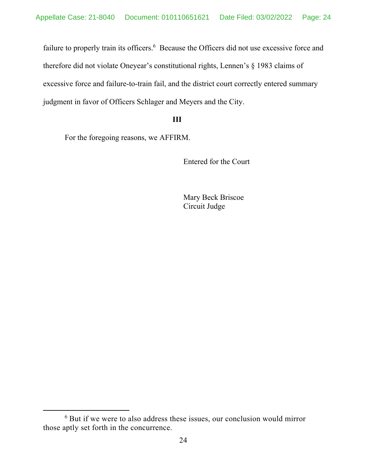failure to properly train its officers.<sup>6</sup> Because the Officers did not use excessive force and therefore did not violate Oneyear's constitutional rights, Lennen's § 1983 claims of excessive force and failure-to-train fail, and the district court correctly entered summary judgment in favor of Officers Schlager and Meyers and the City.

### **III**

For the foregoing reasons, we AFFIRM.

Entered for the Court

Mary Beck Briscoe Circuit Judge

<sup>6</sup> But if we were to also address these issues, our conclusion would mirror those aptly set forth in the concurrence.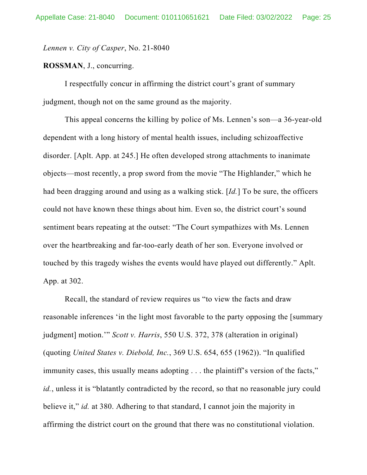*Lennen v. City of Casper*, No. 21-8040

### **ROSSMAN**, J., concurring.

I respectfully concur in affirming the district court's grant of summary judgment, though not on the same ground as the majority.

This appeal concerns the killing by police of Ms. Lennen's son—a 36-year-old dependent with a long history of mental health issues, including schizoaffective disorder. [Aplt. App. at 245.] He often developed strong attachments to inanimate objects—most recently, a prop sword from the movie "The Highlander," which he had been dragging around and using as a walking stick. [*Id.*] To be sure, the officers could not have known these things about him. Even so, the district court's sound sentiment bears repeating at the outset: "The Court sympathizes with Ms. Lennen over the heartbreaking and far-too-early death of her son. Everyone involved or touched by this tragedy wishes the events would have played out differently." Aplt. App. at 302.

Recall, the standard of review requires us "to view the facts and draw reasonable inferences 'in the light most favorable to the party opposing the [summary judgment] motion.'" *Scott v. Harris*, 550 U.S. 372, 378 (alteration in original) (quoting *United States v. Diebold, Inc.*, 369 U.S. 654, 655 (1962)). "In qualified immunity cases, this usually means adopting . . . the plaintiff's version of the facts," *id.*, unless it is "blatantly contradicted by the record, so that no reasonable jury could believe it," *id.* at 380. Adhering to that standard, I cannot join the majority in affirming the district court on the ground that there was no constitutional violation.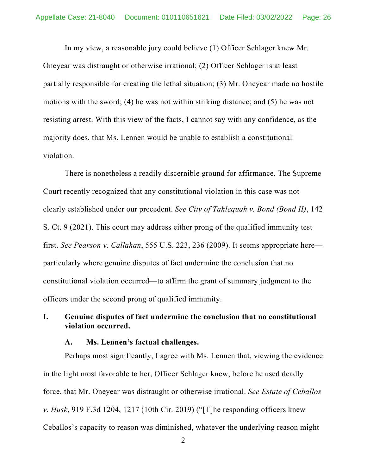In my view, a reasonable jury could believe (1) Officer Schlager knew Mr.

Oneyear was distraught or otherwise irrational; (2) Officer Schlager is at least partially responsible for creating the lethal situation; (3) Mr. Oneyear made no hostile motions with the sword; (4) he was not within striking distance; and (5) he was not resisting arrest. With this view of the facts, I cannot say with any confidence, as the majority does, that Ms. Lennen would be unable to establish a constitutional violation.

There is nonetheless a readily discernible ground for affirmance. The Supreme Court recently recognized that any constitutional violation in this case was not clearly established under our precedent. *See City of Tahlequah v. Bond (Bond II)*, 142 S. Ct. 9 (2021). This court may address either prong of the qualified immunity test first. *See Pearson v. Callahan*, 555 U.S. 223, 236 (2009). It seems appropriate here particularly where genuine disputes of fact undermine the conclusion that no constitutional violation occurred—to affirm the grant of summary judgment to the officers under the second prong of qualified immunity.

# **I. Genuine disputes of fact undermine the conclusion that no constitutional violation occurred.**

#### **A. Ms. Lennen's factual challenges.**

Perhaps most significantly, I agree with Ms. Lennen that, viewing the evidence in the light most favorable to her, Officer Schlager knew, before he used deadly force, that Mr. Oneyear was distraught or otherwise irrational. *See Estate of Ceballos v. Husk*, 919 F.3d 1204, 1217 (10th Cir. 2019) ("[T]he responding officers knew Ceballos's capacity to reason was diminished, whatever the underlying reason might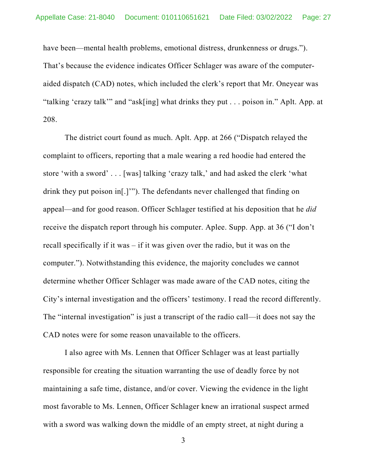have been—mental health problems, emotional distress, drunkenness or drugs."). That's because the evidence indicates Officer Schlager was aware of the computeraided dispatch (CAD) notes, which included the clerk's report that Mr. Oneyear was "talking 'crazy talk'" and "ask[ing] what drinks they put . . . poison in." Aplt. App. at 208.

The district court found as much. Aplt. App. at 266 ("Dispatch relayed the complaint to officers, reporting that a male wearing a red hoodie had entered the store 'with a sword' . . . [was] talking 'crazy talk,' and had asked the clerk 'what drink they put poison in[.]'"). The defendants never challenged that finding on appeal—and for good reason. Officer Schlager testified at his deposition that he *did*  receive the dispatch report through his computer. Aplee. Supp. App. at 36 ("I don't recall specifically if it was – if it was given over the radio, but it was on the computer."). Notwithstanding this evidence, the majority concludes we cannot determine whether Officer Schlager was made aware of the CAD notes, citing the City's internal investigation and the officers' testimony. I read the record differently. The "internal investigation" is just a transcript of the radio call—it does not say the CAD notes were for some reason unavailable to the officers.

I also agree with Ms. Lennen that Officer Schlager was at least partially responsible for creating the situation warranting the use of deadly force by not maintaining a safe time, distance, and/or cover. Viewing the evidence in the light most favorable to Ms. Lennen, Officer Schlager knew an irrational suspect armed with a sword was walking down the middle of an empty street, at night during a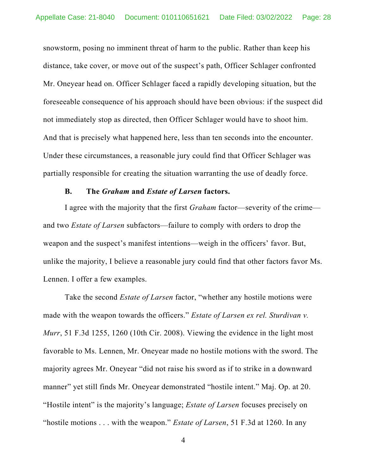snowstorm, posing no imminent threat of harm to the public. Rather than keep his distance, take cover, or move out of the suspect's path, Officer Schlager confronted Mr. Oneyear head on. Officer Schlager faced a rapidly developing situation, but the foreseeable consequence of his approach should have been obvious: if the suspect did not immediately stop as directed, then Officer Schlager would have to shoot him. And that is precisely what happened here, less than ten seconds into the encounter. Under these circumstances, a reasonable jury could find that Officer Schlager was partially responsible for creating the situation warranting the use of deadly force.

### **B. The** *Graham* **and** *Estate of Larsen* **factors.**

I agree with the majority that the first *Graham* factor—severity of the crime and two *Estate of Larsen* subfactors—failure to comply with orders to drop the weapon and the suspect's manifest intentions—weigh in the officers' favor. But, unlike the majority, I believe a reasonable jury could find that other factors favor Ms. Lennen. I offer a few examples.

Take the second *Estate of Larsen* factor, "whether any hostile motions were made with the weapon towards the officers." *Estate of Larsen ex rel. Sturdivan v. Murr*, 51 F.3d 1255, 1260 (10th Cir. 2008). Viewing the evidence in the light most favorable to Ms. Lennen, Mr. Oneyear made no hostile motions with the sword. The majority agrees Mr. Oneyear "did not raise his sword as if to strike in a downward manner" yet still finds Mr. Oneyear demonstrated "hostile intent." Maj. Op. at 20. "Hostile intent" is the majority's language; *Estate of Larsen* focuses precisely on "hostile motions . . . with the weapon." *Estate of Larsen*, 51 F.3d at 1260. In any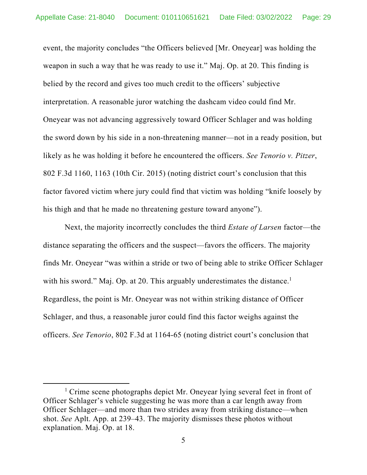event, the majority concludes "the Officers believed [Mr. Oneyear] was holding the weapon in such a way that he was ready to use it." Maj. Op. at 20. This finding is belied by the record and gives too much credit to the officers' subjective interpretation. A reasonable juror watching the dashcam video could find Mr. Oneyear was not advancing aggressively toward Officer Schlager and was holding the sword down by his side in a non-threatening manner—not in a ready position, but likely as he was holding it before he encountered the officers. *See Tenorio v. Pitzer*, 802 F.3d 1160, 1163 (10th Cir. 2015) (noting district court's conclusion that this factor favored victim where jury could find that victim was holding "knife loosely by his thigh and that he made no threatening gesture toward anyone").

Next, the majority incorrectly concludes the third *Estate of Larsen* factor—the distance separating the officers and the suspect—favors the officers. The majority finds Mr. Oneyear "was within a stride or two of being able to strike Officer Schlager with his sword." Maj. Op. at 20. This arguably underestimates the distance.<sup>1</sup> Regardless, the point is Mr. Oneyear was not within striking distance of Officer Schlager, and thus, a reasonable juror could find this factor weighs against the officers. *See Tenorio*, 802 F.3d at 1164-65 (noting district court's conclusion that

<sup>&</sup>lt;sup>1</sup> Crime scene photographs depict Mr. Oneyear lying several feet in front of Officer Schlager's vehicle suggesting he was more than a car length away from Officer Schlager—and more than two strides away from striking distance—when shot. *See* Aplt. App. at 239–43. The majority dismisses these photos without explanation. Maj. Op. at 18.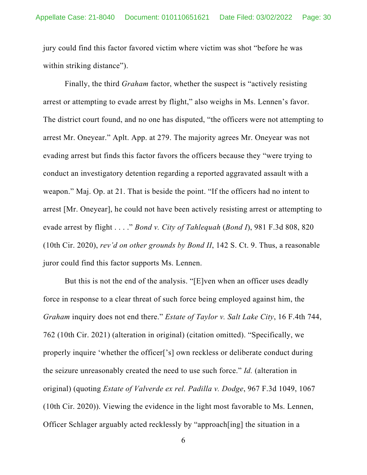jury could find this factor favored victim where victim was shot "before he was within striking distance").

Finally, the third *Graham* factor, whether the suspect is "actively resisting arrest or attempting to evade arrest by flight," also weighs in Ms. Lennen's favor. The district court found, and no one has disputed, "the officers were not attempting to arrest Mr. Oneyear." Aplt. App. at 279. The majority agrees Mr. Oneyear was not evading arrest but finds this factor favors the officers because they "were trying to conduct an investigatory detention regarding a reported aggravated assault with a weapon." Maj. Op. at 21. That is beside the point. "If the officers had no intent to arrest [Mr. Oneyear], he could not have been actively resisting arrest or attempting to evade arrest by flight . . . ." *Bond v. City of Tahlequah* (*Bond I*), 981 F.3d 808, 820 (10th Cir. 2020), *rev'd on other grounds by Bond II*, 142 S. Ct. 9. Thus, a reasonable juror could find this factor supports Ms. Lennen.

But this is not the end of the analysis. "[E]ven when an officer uses deadly force in response to a clear threat of such force being employed against him, the *Graham* inquiry does not end there." *Estate of Taylor v. Salt Lake City*, 16 F.4th 744, 762 (10th Cir. 2021) (alteration in original) (citation omitted). "Specifically, we properly inquire 'whether the officer['s] own reckless or deliberate conduct during the seizure unreasonably created the need to use such force." *Id.* (alteration in original) (quoting *Estate of Valverde ex rel. Padilla v. Dodge*, 967 F.3d 1049, 1067 (10th Cir. 2020)). Viewing the evidence in the light most favorable to Ms. Lennen, Officer Schlager arguably acted recklessly by "approach[ing] the situation in a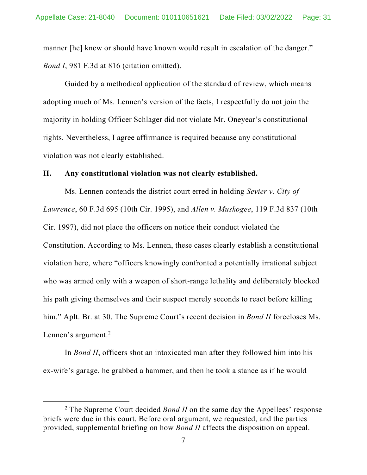manner [he] knew or should have known would result in escalation of the danger." *Bond I*, 981 F.3d at 816 (citation omitted).

Guided by a methodical application of the standard of review, which means adopting much of Ms. Lennen's version of the facts, I respectfully do not join the majority in holding Officer Schlager did not violate Mr. Oneyear's constitutional rights. Nevertheless, I agree affirmance is required because any constitutional violation was not clearly established.

### **II. Any constitutional violation was not clearly established.**

Ms. Lennen contends the district court erred in holding *Sevier v. City of Lawrence*, 60 F.3d 695 (10th Cir. 1995), and *Allen v. Muskogee*, 119 F.3d 837 (10th Cir. 1997), did not place the officers on notice their conduct violated the Constitution. According to Ms. Lennen, these cases clearly establish a constitutional violation here, where "officers knowingly confronted a potentially irrational subject who was armed only with a weapon of short-range lethality and deliberately blocked his path giving themselves and their suspect merely seconds to react before killing him." Aplt. Br. at 30. The Supreme Court's recent decision in *Bond II* forecloses Ms. Lennen's argument. $2$ 

In *Bond II*, officers shot an intoxicated man after they followed him into his ex-wife's garage, he grabbed a hammer, and then he took a stance as if he would

<sup>&</sup>lt;sup>2</sup> The Supreme Court decided *Bond II* on the same day the Appellees' response briefs were due in this court. Before oral argument, we requested, and the parties provided, supplemental briefing on how *Bond II* affects the disposition on appeal.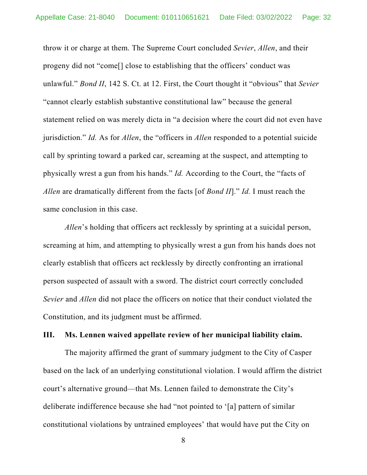throw it or charge at them. The Supreme Court concluded *Sevier*, *Allen*, and their progeny did not "come[] close to establishing that the officers' conduct was unlawful." *Bond II*, 142 S. Ct. at 12. First, the Court thought it "obvious" that *Sevier* "cannot clearly establish substantive constitutional law" because the general statement relied on was merely dicta in "a decision where the court did not even have jurisdiction." *Id.* As for *Allen*, the "officers in *Allen* responded to a potential suicide call by sprinting toward a parked car, screaming at the suspect, and attempting to physically wrest a gun from his hands." *Id.* According to the Court, the "facts of *Allen* are dramatically different from the facts [of *Bond II*]." *Id.* I must reach the same conclusion in this case.

*Allen*'s holding that officers act recklessly by sprinting at a suicidal person, screaming at him, and attempting to physically wrest a gun from his hands does not clearly establish that officers act recklessly by directly confronting an irrational person suspected of assault with a sword. The district court correctly concluded *Sevier* and *Allen* did not place the officers on notice that their conduct violated the Constitution, and its judgment must be affirmed.

### **III. Ms. Lennen waived appellate review of her municipal liability claim.**

The majority affirmed the grant of summary judgment to the City of Casper based on the lack of an underlying constitutional violation. I would affirm the district court's alternative ground—that Ms. Lennen failed to demonstrate the City's deliberate indifference because she had "not pointed to '[a] pattern of similar constitutional violations by untrained employees' that would have put the City on